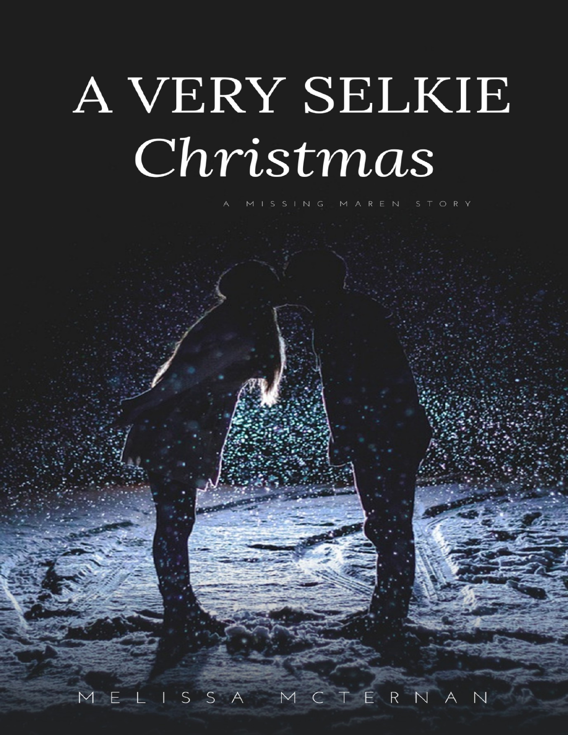# A VERY SELKIE Christmas

ORY

MCTERNAN MELISSA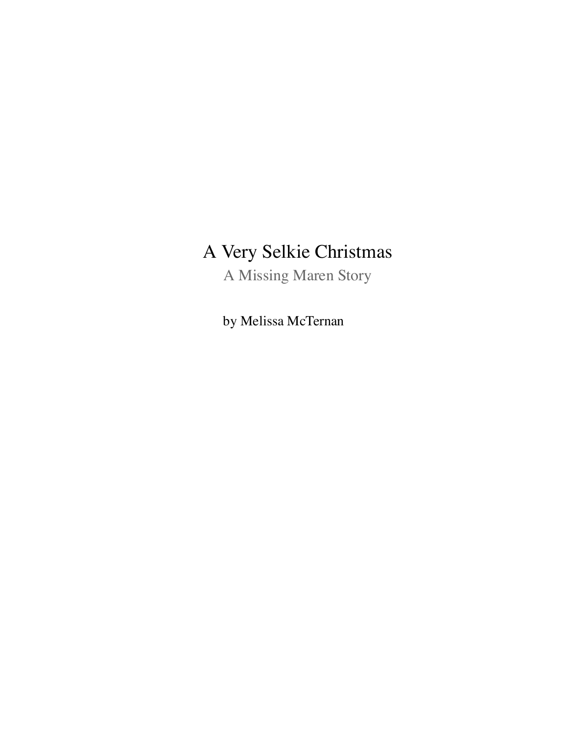## A Very Selkie Christmas

A Missing Maren Story

by Melissa McTernan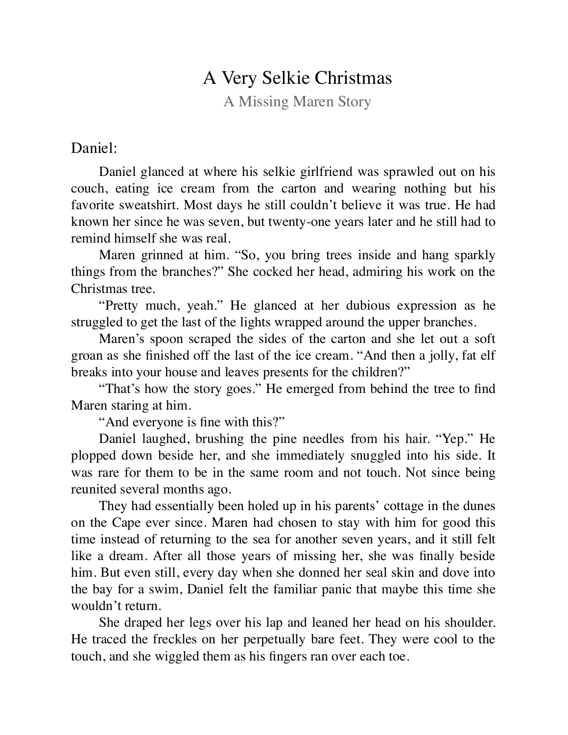### A Very Selkie Christmas

A Missing Maren Story

#### Daniel:

Daniel glanced at where his selkie girlfriend was sprawled out on his couch, eating ice cream from the carton and wearing nothing but his favorite sweatshirt. Most days he still couldn't believe it was true. He had known her since he was seven, but twenty-one years later and he still had to remind himself she was real.

Maren grinned at him. "So, you bring trees inside and hang sparkly things from the branches?" She cocked her head, admiring his work on the Christmas tree.

"Pretty much, yeah." He glanced at her dubious expression as he struggled to get the last of the lights wrapped around the upper branches.

Maren's spoon scraped the sides of the carton and she let out a soft groan as she finished off the last of the ice cream. "And then a jolly, fat elf breaks into your house and leaves presents for the children?"

"That's how the story goes." He emerged from behind the tree to find Maren staring at him.

"And everyone is fine with this?"

Daniel laughed, brushing the pine needles from his hair. "Yep." He plopped down beside her, and she immediately snuggled into his side. It was rare for them to be in the same room and not touch. Not since being reunited several months ago.

They had essentially been holed up in his parents' cottage in the dunes on the Cape ever since. Maren had chosen to stay with him for good this time instead of returning to the sea for another seven years, and it still felt like a dream. After all those years of missing her, she was finally beside him. But even still, every day when she donned her seal skin and dove into the bay for a swim, Daniel felt the familiar panic that maybe this time she wouldn't return.

She draped her legs over his lap and leaned her head on his shoulder. He traced the freckles on her perpetually bare feet. They were cool to the touch, and she wiggled them as his fingers ran over each toe.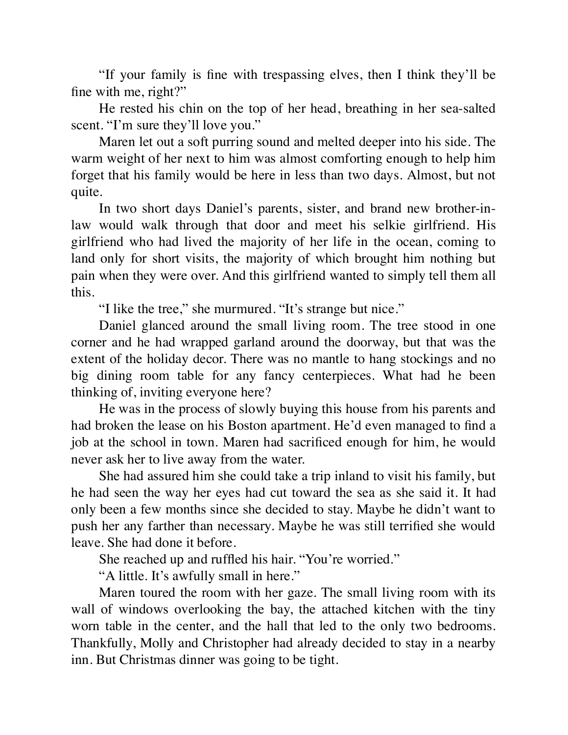"If your family is fine with trespassing elves, then I think they'll be fine with me, right?"

He rested his chin on the top of her head, breathing in her sea-salted scent. "I'm sure they'll love you."

Maren let out a soft purring sound and melted deeper into his side. The warm weight of her next to him was almost comforting enough to help him forget that his family would be here in less than two days. Almost, but not quite.

In two short days Daniel's parents, sister, and brand new brother-inlaw would walk through that door and meet his selkie girlfriend. His girlfriend who had lived the majority of her life in the ocean, coming to land only for short visits, the majority of which brought him nothing but pain when they were over. And this girlfriend wanted to simply tell them all this.

"I like the tree," she murmured. "It's strange but nice."

Daniel glanced around the small living room. The tree stood in one corner and he had wrapped garland around the doorway, but that was the extent of the holiday decor. There was no mantle to hang stockings and no big dining room table for any fancy centerpieces. What had he been thinking of, inviting everyone here?

He was in the process of slowly buying this house from his parents and had broken the lease on his Boston apartment. He'd even managed to find a job at the school in town. Maren had sacrificed enough for him, he would never ask her to live away from the water.

She had assured him she could take a trip inland to visit his family, but he had seen the way her eyes had cut toward the sea as she said it. It had only been a few months since she decided to stay. Maybe he didn't want to push her any farther than necessary. Maybe he was still terrified she would leave. She had done it before.

She reached up and ruffled his hair. "You're worried."

"A little. It's awfully small in here."

Maren toured the room with her gaze. The small living room with its wall of windows overlooking the bay, the attached kitchen with the tiny worn table in the center, and the hall that led to the only two bedrooms. Thankfully, Molly and Christopher had already decided to stay in a nearby inn. But Christmas dinner was going to be tight.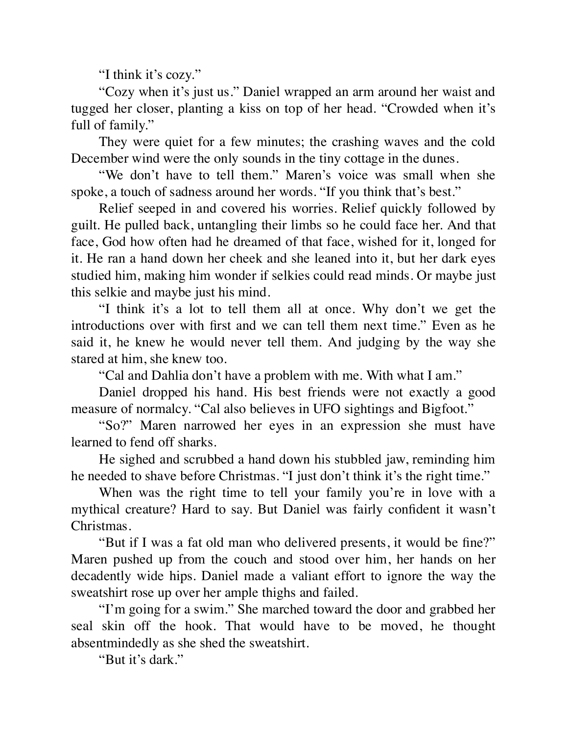"I think it's cozy."

"Cozy when it's just us." Daniel wrapped an arm around her waist and tugged her closer, planting a kiss on top of her head. "Crowded when it's full of family."

They were quiet for a few minutes; the crashing waves and the cold December wind were the only sounds in the tiny cottage in the dunes.

"We don't have to tell them." Maren's voice was small when she spoke, a touch of sadness around her words. "If you think that's best."

Relief seeped in and covered his worries. Relief quickly followed by guilt. He pulled back, untangling their limbs so he could face her. And that face, God how often had he dreamed of that face, wished for it, longed for it. He ran a hand down her cheek and she leaned into it, but her dark eyes studied him, making him wonder if selkies could read minds. Or maybe just this selkie and maybe just his mind.

"I think it's a lot to tell them all at once. Why don't we get the introductions over with first and we can tell them next time." Even as he said it, he knew he would never tell them. And judging by the way she stared at him, she knew too.

"Cal and Dahlia don't have a problem with me. With what I am."

Daniel dropped his hand. His best friends were not exactly a good measure of normalcy. "Cal also believes in UFO sightings and Bigfoot."

"So?" Maren narrowed her eyes in an expression she must have learned to fend off sharks.

He sighed and scrubbed a hand down his stubbled jaw, reminding him he needed to shave before Christmas. "I just don't think it's the right time."

When was the right time to tell your family you're in love with a mythical creature? Hard to say. But Daniel was fairly confident it wasn't Christmas.

"But if I was a fat old man who delivered presents, it would be fine?" Maren pushed up from the couch and stood over him, her hands on her decadently wide hips. Daniel made a valiant effort to ignore the way the sweatshirt rose up over her ample thighs and failed.

"I'm going for a swim." She marched toward the door and grabbed her seal skin off the hook. That would have to be moved, he thought absentmindedly as she shed the sweatshirt.

"But it's dark."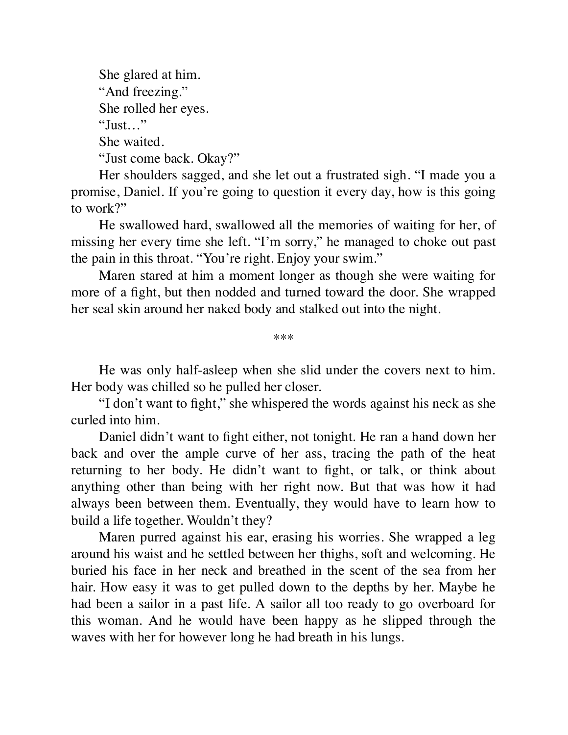She glared at him. "And freezing." She rolled her eyes. "Just…" She waited. "Just come back. Okay?"

Her shoulders sagged, and she let out a frustrated sigh. "I made you a promise, Daniel. If you're going to question it every day, how is this going to work?"

He swallowed hard, swallowed all the memories of waiting for her, of missing her every time she left. "I'm sorry," he managed to choke out past the pain in this throat. "You're right. Enjoy your swim."

Maren stared at him a moment longer as though she were waiting for more of a fight, but then nodded and turned toward the door. She wrapped her seal skin around her naked body and stalked out into the night.

\*\*\*

He was only half-asleep when she slid under the covers next to him. Her body was chilled so he pulled her closer.

"I don't want to fight," she whispered the words against his neck as she curled into him.

Daniel didn't want to fight either, not tonight. He ran a hand down her back and over the ample curve of her ass, tracing the path of the heat returning to her body. He didn't want to fight, or talk, or think about anything other than being with her right now. But that was how it had always been between them. Eventually, they would have to learn how to build a life together. Wouldn't they?

Maren purred against his ear, erasing his worries. She wrapped a leg around his waist and he settled between her thighs, soft and welcoming. He buried his face in her neck and breathed in the scent of the sea from her hair. How easy it was to get pulled down to the depths by her. Maybe he had been a sailor in a past life. A sailor all too ready to go overboard for this woman. And he would have been happy as he slipped through the waves with her for however long he had breath in his lungs.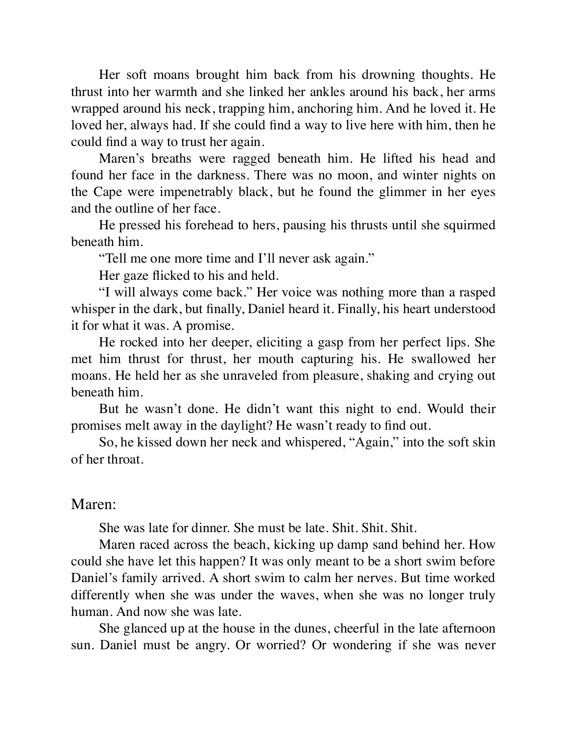Her soft moans brought him back from his drowning thoughts. He thrust into her warmth and she linked her ankles around his back, her arms wrapped around his neck, trapping him, anchoring him. And he loved it. He loved her, always had. If she could find a way to live here with him, then he could find a way to trust her again.

Maren's breaths were ragged beneath him. He lifted his head and found her face in the darkness. There was no moon, and winter nights on the Cape were impenetrably black, but he found the glimmer in her eyes and the outline of her face.

He pressed his forehead to hers, pausing his thrusts until she squirmed beneath him.

"Tell me one more time and I'll never ask again."

Her gaze flicked to his and held.

"I will always come back." Her voice was nothing more than a rasped whisper in the dark, but finally, Daniel heard it. Finally, his heart understood it for what it was. A promise.

He rocked into her deeper, eliciting a gasp from her perfect lips. She met him thrust for thrust, her mouth capturing his. He swallowed her moans. He held her as she unraveled from pleasure, shaking and crying out beneath him.

But he wasn't done. He didn't want this night to end. Would their promises melt away in the daylight? He wasn't ready to find out.

So, he kissed down her neck and whispered, "Again," into the soft skin of her throat.

#### Maren:

She was late for dinner. She must be late. Shit. Shit. Shit.

Maren raced across the beach, kicking up damp sand behind her. How could she have let this happen? It was only meant to be a short swim before Daniel's family arrived. A short swim to calm her nerves. But time worked differently when she was under the waves, when she was no longer truly human. And now she was late.

She glanced up at the house in the dunes, cheerful in the late afternoon sun. Daniel must be angry. Or worried? Or wondering if she was never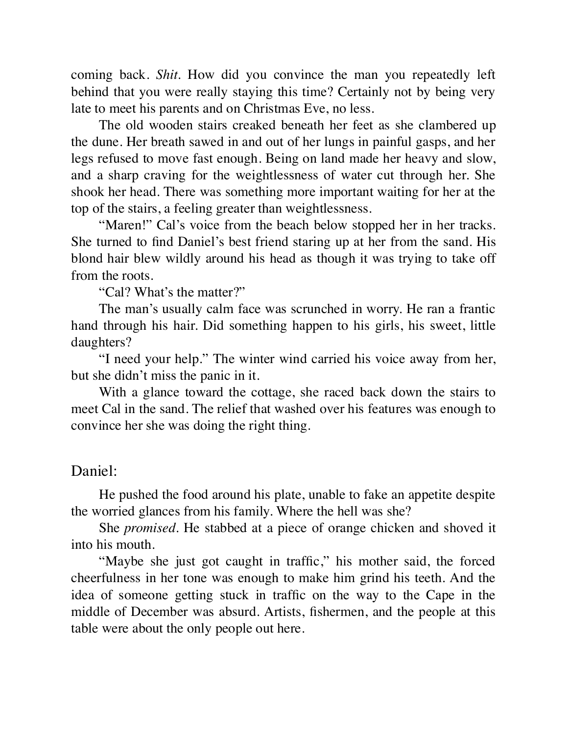coming back. *Shit*. How did you convince the man you repeatedly left behind that you were really staying this time? Certainly not by being very late to meet his parents and on Christmas Eve, no less.

The old wooden stairs creaked beneath her feet as she clambered up the dune. Her breath sawed in and out of her lungs in painful gasps, and her legs refused to move fast enough. Being on land made her heavy and slow, and a sharp craving for the weightlessness of water cut through her. She shook her head. There was something more important waiting for her at the top of the stairs, a feeling greater than weightlessness.

"Maren!" Cal's voice from the beach below stopped her in her tracks. She turned to find Daniel's best friend staring up at her from the sand. His blond hair blew wildly around his head as though it was trying to take off from the roots.

"Cal? What's the matter?"

The man's usually calm face was scrunched in worry. He ran a frantic hand through his hair. Did something happen to his girls, his sweet, little daughters?

"I need your help." The winter wind carried his voice away from her, but she didn't miss the panic in it.

With a glance toward the cottage, she raced back down the stairs to meet Cal in the sand. The relief that washed over his features was enough to convince her she was doing the right thing.

#### Daniel:

He pushed the food around his plate, unable to fake an appetite despite the worried glances from his family. Where the hell was she?

She *promised*. He stabbed at a piece of orange chicken and shoved it into his mouth.

"Maybe she just got caught in traffic," his mother said, the forced cheerfulness in her tone was enough to make him grind his teeth. And the idea of someone getting stuck in traffic on the way to the Cape in the middle of December was absurd. Artists, fishermen, and the people at this table were about the only people out here.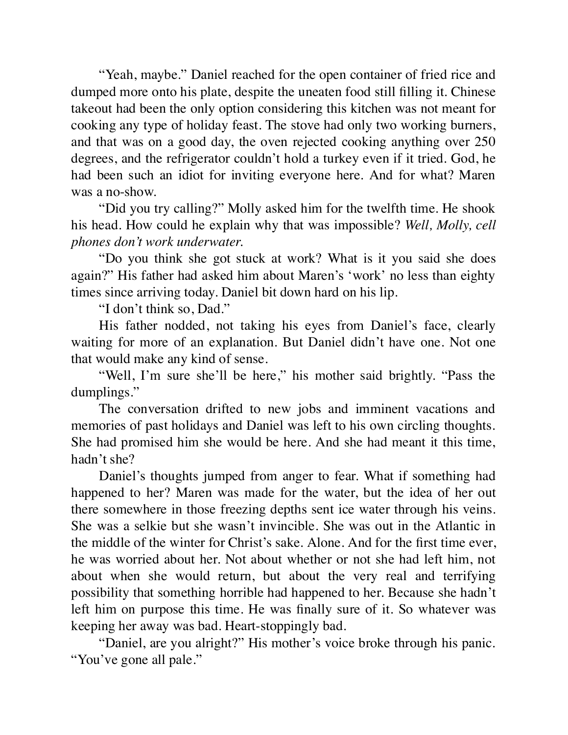"Yeah, maybe." Daniel reached for the open container of fried rice and dumped more onto his plate, despite the uneaten food still filling it. Chinese takeout had been the only option considering this kitchen was not meant for cooking any type of holiday feast. The stove had only two working burners, and that was on a good day, the oven rejected cooking anything over 250 degrees, and the refrigerator couldn't hold a turkey even if it tried. God, he had been such an idiot for inviting everyone here. And for what? Maren was a no-show.

"Did you try calling?" Molly asked him for the twelfth time. He shook his head. How could he explain why that was impossible? *Well, Molly, cell phones don't work underwater.*

"Do you think she got stuck at work? What is it you said she does again?" His father had asked him about Maren's 'work' no less than eighty times since arriving today. Daniel bit down hard on his lip.

"I don't think so, Dad."

His father nodded, not taking his eyes from Daniel's face, clearly waiting for more of an explanation. But Daniel didn't have one. Not one that would make any kind of sense.

"Well, I'm sure she'll be here," his mother said brightly. "Pass the dumplings."

The conversation drifted to new jobs and imminent vacations and memories of past holidays and Daniel was left to his own circling thoughts. She had promised him she would be here. And she had meant it this time, hadn't she?

Daniel's thoughts jumped from anger to fear. What if something had happened to her? Maren was made for the water, but the idea of her out there somewhere in those freezing depths sent ice water through his veins. She was a selkie but she wasn't invincible. She was out in the Atlantic in the middle of the winter for Christ's sake. Alone. And for the first time ever, he was worried about her. Not about whether or not she had left him, not about when she would return, but about the very real and terrifying possibility that something horrible had happened to her. Because she hadn't left him on purpose this time. He was finally sure of it. So whatever was keeping her away was bad. Heart-stoppingly bad.

"Daniel, are you alright?" His mother's voice broke through his panic. "You've gone all pale."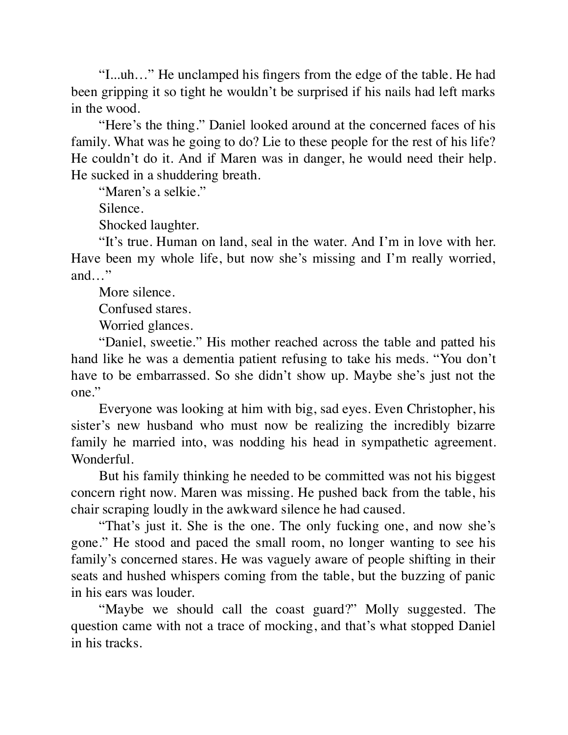"I...uh…" He unclamped his fingers from the edge of the table. He had been gripping it so tight he wouldn't be surprised if his nails had left marks in the wood.

"Here's the thing." Daniel looked around at the concerned faces of his family. What was he going to do? Lie to these people for the rest of his life? He couldn't do it. And if Maren was in danger, he would need their help. He sucked in a shuddering breath.

"Maren's a selkie."

Silence.

Shocked laughter.

"It's true. Human on land, seal in the water. And I'm in love with her. Have been my whole life, but now she's missing and I'm really worried, and…"

More silence.

Confused stares.

Worried glances.

"Daniel, sweetie." His mother reached across the table and patted his hand like he was a dementia patient refusing to take his meds. "You don't have to be embarrassed. So she didn't show up. Maybe she's just not the one."

Everyone was looking at him with big, sad eyes. Even Christopher, his sister's new husband who must now be realizing the incredibly bizarre family he married into, was nodding his head in sympathetic agreement. Wonderful.

But his family thinking he needed to be committed was not his biggest concern right now. Maren was missing. He pushed back from the table, his chair scraping loudly in the awkward silence he had caused.

"That's just it. She is the one. The only fucking one, and now she's gone." He stood and paced the small room, no longer wanting to see his family's concerned stares. He was vaguely aware of people shifting in their seats and hushed whispers coming from the table, but the buzzing of panic in his ears was louder.

"Maybe we should call the coast guard?" Molly suggested. The question came with not a trace of mocking, and that's what stopped Daniel in his tracks.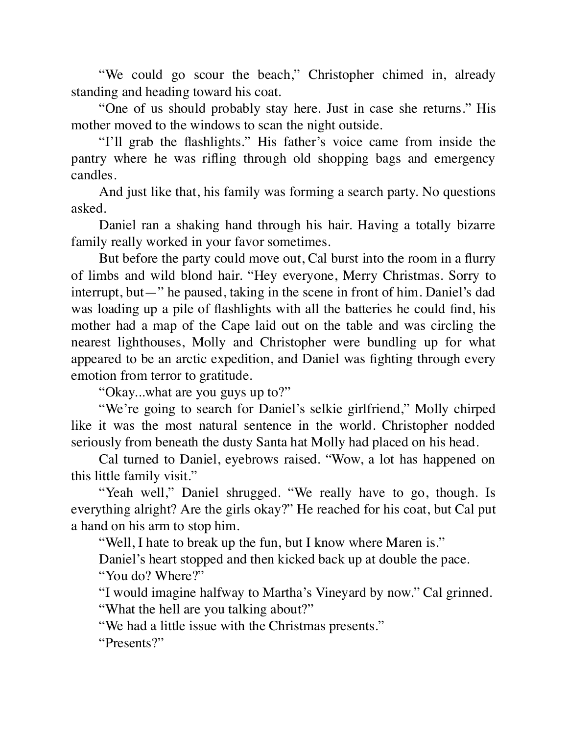"We could go scour the beach," Christopher chimed in, already standing and heading toward his coat.

"One of us should probably stay here. Just in case she returns." His mother moved to the windows to scan the night outside.

"I'll grab the flashlights." His father's voice came from inside the pantry where he was rifling through old shopping bags and emergency candles.

And just like that, his family was forming a search party. No questions asked.

Daniel ran a shaking hand through his hair. Having a totally bizarre family really worked in your favor sometimes.

But before the party could move out, Cal burst into the room in a flurry of limbs and wild blond hair. "Hey everyone, Merry Christmas. Sorry to interrupt, but—" he paused, taking in the scene in front of him. Daniel's dad was loading up a pile of flashlights with all the batteries he could find, his mother had a map of the Cape laid out on the table and was circling the nearest lighthouses, Molly and Christopher were bundling up for what appeared to be an arctic expedition, and Daniel was fighting through every emotion from terror to gratitude.

"Okay...what are you guys up to?"

"We're going to search for Daniel's selkie girlfriend," Molly chirped like it was the most natural sentence in the world. Christopher nodded seriously from beneath the dusty Santa hat Molly had placed on his head.

Cal turned to Daniel, eyebrows raised. "Wow, a lot has happened on this little family visit."

"Yeah well," Daniel shrugged. "We really have to go, though. Is everything alright? Are the girls okay?" He reached for his coat, but Cal put a hand on his arm to stop him.

"Well, I hate to break up the fun, but I know where Maren is."

Daniel's heart stopped and then kicked back up at double the pace.

"You do? Where?"

"I would imagine halfway to Martha's Vineyard by now." Cal grinned.

"What the hell are you talking about?"

"We had a little issue with the Christmas presents."

"Presents?"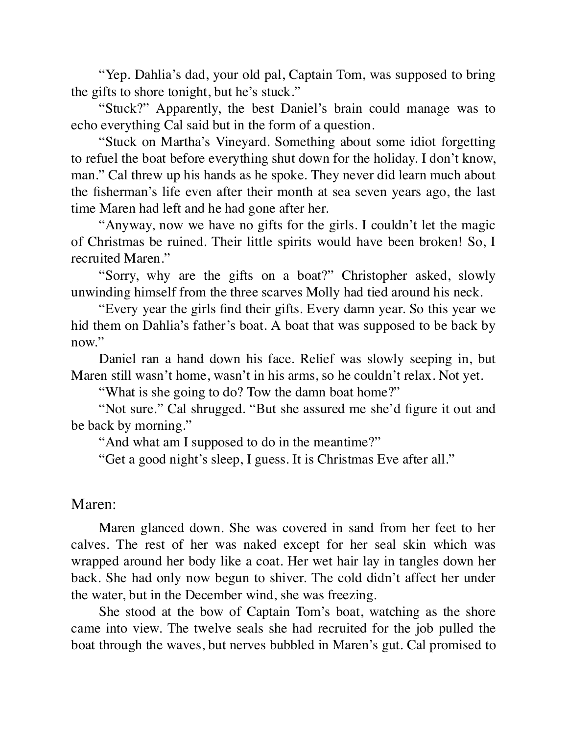"Yep. Dahlia's dad, your old pal, Captain Tom, was supposed to bring the gifts to shore tonight, but he's stuck."

"Stuck?" Apparently, the best Daniel's brain could manage was to echo everything Cal said but in the form of a question.

"Stuck on Martha's Vineyard. Something about some idiot forgetting to refuel the boat before everything shut down for the holiday. I don't know, man." Cal threw up his hands as he spoke. They never did learn much about the fisherman's life even after their month at sea seven years ago, the last time Maren had left and he had gone after her.

"Anyway, now we have no gifts for the girls. I couldn't let the magic of Christmas be ruined. Their little spirits would have been broken! So, I recruited Maren."

"Sorry, why are the gifts on a boat?" Christopher asked, slowly unwinding himself from the three scarves Molly had tied around his neck.

"Every year the girls find their gifts. Every damn year. So this year we hid them on Dahlia's father's boat. A boat that was supposed to be back by now."

Daniel ran a hand down his face. Relief was slowly seeping in, but Maren still wasn't home, wasn't in his arms, so he couldn't relax. Not yet.

"What is she going to do? Tow the damn boat home?"

"Not sure." Cal shrugged. "But she assured me she'd figure it out and be back by morning."

"And what am I supposed to do in the meantime?"

"Get a good night's sleep, I guess. It is Christmas Eve after all."

#### Maren:

Maren glanced down. She was covered in sand from her feet to her calves. The rest of her was naked except for her seal skin which was wrapped around her body like a coat. Her wet hair lay in tangles down her back. She had only now begun to shiver. The cold didn't affect her under the water, but in the December wind, she was freezing.

She stood at the bow of Captain Tom's boat, watching as the shore came into view. The twelve seals she had recruited for the job pulled the boat through the waves, but nerves bubbled in Maren's gut. Cal promised to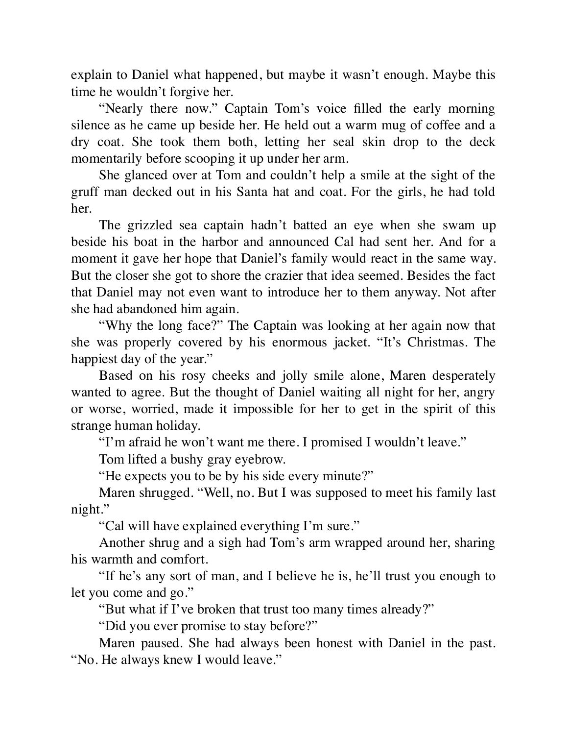explain to Daniel what happened, but maybe it wasn't enough. Maybe this time he wouldn't forgive her.

"Nearly there now." Captain Tom's voice filled the early morning silence as he came up beside her. He held out a warm mug of coffee and a dry coat. She took them both, letting her seal skin drop to the deck momentarily before scooping it up under her arm.

She glanced over at Tom and couldn't help a smile at the sight of the gruff man decked out in his Santa hat and coat. For the girls, he had told her.

The grizzled sea captain hadn't batted an eye when she swam up beside his boat in the harbor and announced Cal had sent her. And for a moment it gave her hope that Daniel's family would react in the same way. But the closer she got to shore the crazier that idea seemed. Besides the fact that Daniel may not even want to introduce her to them anyway. Not after she had abandoned him again.

"Why the long face?" The Captain was looking at her again now that she was properly covered by his enormous jacket. "It's Christmas. The happiest day of the year."

Based on his rosy cheeks and jolly smile alone, Maren desperately wanted to agree. But the thought of Daniel waiting all night for her, angry or worse, worried, made it impossible for her to get in the spirit of this strange human holiday.

"I'm afraid he won't want me there. I promised I wouldn't leave."

Tom lifted a bushy gray eyebrow.

"He expects you to be by his side every minute?"

Maren shrugged. "Well, no. But I was supposed to meet his family last night."

"Cal will have explained everything I'm sure."

Another shrug and a sigh had Tom's arm wrapped around her, sharing his warmth and comfort.

"If he's any sort of man, and I believe he is, he'll trust you enough to let you come and go."

"But what if I've broken that trust too many times already?"

"Did you ever promise to stay before?"

Maren paused. She had always been honest with Daniel in the past. "No. He always knew I would leave."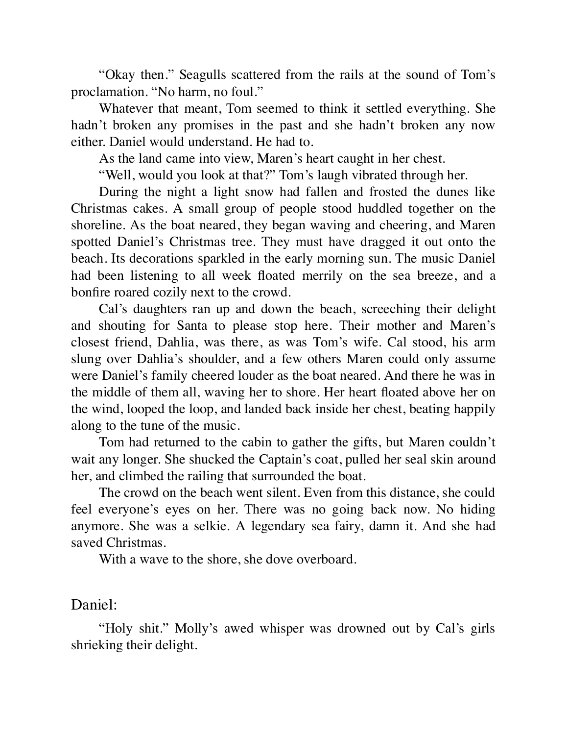"Okay then." Seagulls scattered from the rails at the sound of Tom's proclamation. "No harm, no foul."

Whatever that meant, Tom seemed to think it settled everything. She hadn't broken any promises in the past and she hadn't broken any now either. Daniel would understand. He had to.

As the land came into view, Maren's heart caught in her chest.

"Well, would you look at that?" Tom's laugh vibrated through her.

During the night a light snow had fallen and frosted the dunes like Christmas cakes. A small group of people stood huddled together on the shoreline. As the boat neared, they began waving and cheering, and Maren spotted Daniel's Christmas tree. They must have dragged it out onto the beach. Its decorations sparkled in the early morning sun. The music Daniel had been listening to all week floated merrily on the sea breeze, and a bonfire roared cozily next to the crowd.

Cal's daughters ran up and down the beach, screeching their delight and shouting for Santa to please stop here. Their mother and Maren's closest friend, Dahlia, was there, as was Tom's wife. Cal stood, his arm slung over Dahlia's shoulder, and a few others Maren could only assume were Daniel's family cheered louder as the boat neared. And there he was in the middle of them all, waving her to shore. Her heart floated above her on the wind, looped the loop, and landed back inside her chest, beating happily along to the tune of the music.

Tom had returned to the cabin to gather the gifts, but Maren couldn't wait any longer. She shucked the Captain's coat, pulled her seal skin around her, and climbed the railing that surrounded the boat.

The crowd on the beach went silent. Even from this distance, she could feel everyone's eyes on her. There was no going back now. No hiding anymore. She was a selkie. A legendary sea fairy, damn it. And she had saved Christmas.

With a wave to the shore, she dove overboard.

#### Daniel:

"Holy shit." Molly's awed whisper was drowned out by Cal's girls shrieking their delight.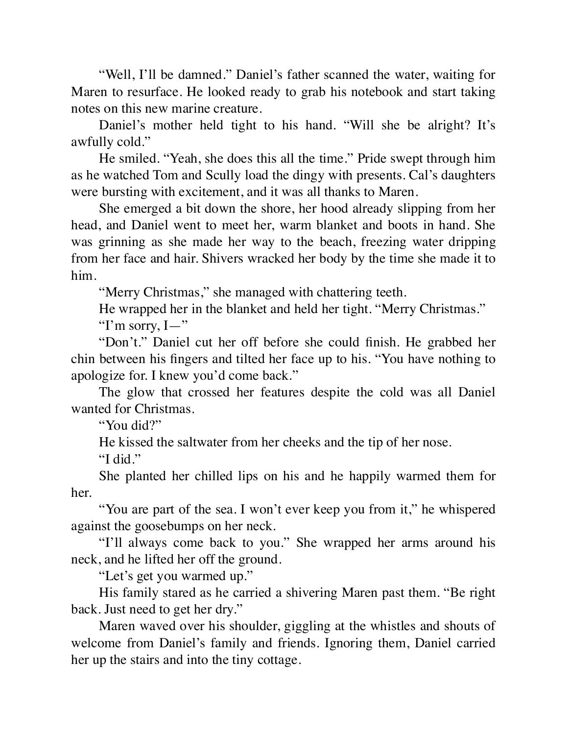"Well, I'll be damned." Daniel's father scanned the water, waiting for Maren to resurface. He looked ready to grab his notebook and start taking notes on this new marine creature.

Daniel's mother held tight to his hand. "Will she be alright? It's awfully cold."

He smiled. "Yeah, she does this all the time." Pride swept through him as he watched Tom and Scully load the dingy with presents. Cal's daughters were bursting with excitement, and it was all thanks to Maren.

She emerged a bit down the shore, her hood already slipping from her head, and Daniel went to meet her, warm blanket and boots in hand. She was grinning as she made her way to the beach, freezing water dripping from her face and hair. Shivers wracked her body by the time she made it to him.

"Merry Christmas," she managed with chattering teeth.

He wrapped her in the blanket and held her tight. "Merry Christmas."

"I'm sorry,  $I -$ "

"Don't." Daniel cut her off before she could finish. He grabbed her chin between his fingers and tilted her face up to his. "You have nothing to apologize for. I knew you'd come back."

The glow that crossed her features despite the cold was all Daniel wanted for Christmas.

"You did?"

He kissed the saltwater from her cheeks and the tip of her nose.

"I did."

She planted her chilled lips on his and he happily warmed them for her.

"You are part of the sea. I won't ever keep you from it," he whispered against the goosebumps on her neck.

"I'll always come back to you." She wrapped her arms around his neck, and he lifted her off the ground.

"Let's get you warmed up."

His family stared as he carried a shivering Maren past them. "Be right back. Just need to get her dry."

Maren waved over his shoulder, giggling at the whistles and shouts of welcome from Daniel's family and friends. Ignoring them, Daniel carried her up the stairs and into the tiny cottage.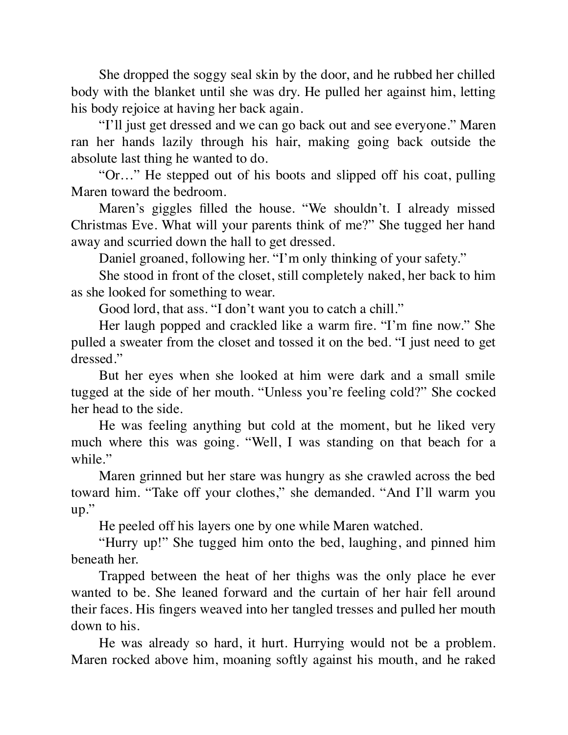She dropped the soggy seal skin by the door, and he rubbed her chilled body with the blanket until she was dry. He pulled her against him, letting his body rejoice at having her back again.

"I'll just get dressed and we can go back out and see everyone." Maren ran her hands lazily through his hair, making going back outside the absolute last thing he wanted to do.

"Or…" He stepped out of his boots and slipped off his coat, pulling Maren toward the bedroom.

Maren's giggles filled the house. "We shouldn't. I already missed Christmas Eve. What will your parents think of me?" She tugged her hand away and scurried down the hall to get dressed.

Daniel groaned, following her. "I'm only thinking of your safety."

She stood in front of the closet, still completely naked, her back to him as she looked for something to wear.

Good lord, that ass. "I don't want you to catch a chill."

Her laugh popped and crackled like a warm fire. "I'm fine now." She pulled a sweater from the closet and tossed it on the bed. "I just need to get dressed."

But her eyes when she looked at him were dark and a small smile tugged at the side of her mouth. "Unless you're feeling cold?" She cocked her head to the side.

He was feeling anything but cold at the moment, but he liked very much where this was going. "Well, I was standing on that beach for a while."

Maren grinned but her stare was hungry as she crawled across the bed toward him. "Take off your clothes," she demanded. "And I'll warm you up."

He peeled off his layers one by one while Maren watched.

"Hurry up!" She tugged him onto the bed, laughing, and pinned him beneath her.

Trapped between the heat of her thighs was the only place he ever wanted to be. She leaned forward and the curtain of her hair fell around their faces. His fingers weaved into her tangled tresses and pulled her mouth down to his.

He was already so hard, it hurt. Hurrying would not be a problem. Maren rocked above him, moaning softly against his mouth, and he raked